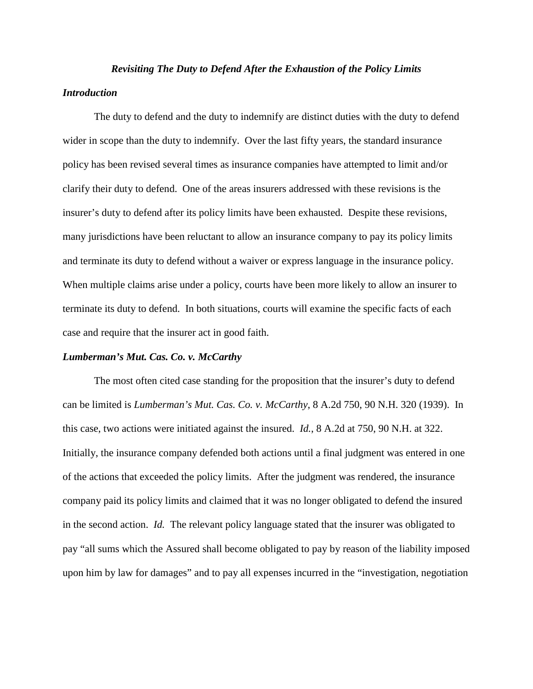#### *Revisiting The Duty to Defend After the Exhaustion of the Policy Limits*

#### *Introduction*

 The duty to defend and the duty to indemnify are distinct duties with the duty to defend wider in scope than the duty to indemnify. Over the last fifty years, the standard insurance policy has been revised several times as insurance companies have attempted to limit and/or clarify their duty to defend. One of the areas insurers addressed with these revisions is the insurer's duty to defend after its policy limits have been exhausted. Despite these revisions, many jurisdictions have been reluctant to allow an insurance company to pay its policy limits and terminate its duty to defend without a waiver or express language in the insurance policy. When multiple claims arise under a policy, courts have been more likely to allow an insurer to terminate its duty to defend. In both situations, courts will examine the specific facts of each case and require that the insurer act in good faith.

## *Lumberman's Mut. Cas. Co. v. McCarthy*

 The most often cited case standing for the proposition that the insurer's duty to defend can be limited is *Lumberman's Mut. Cas. Co. v. McCarthy*, 8 A.2d 750, 90 N.H. 320 (1939). In this case, two actions were initiated against the insured. *Id.*, 8 A.2d at 750, 90 N.H. at 322. Initially, the insurance company defended both actions until a final judgment was entered in one of the actions that exceeded the policy limits. After the judgment was rendered, the insurance company paid its policy limits and claimed that it was no longer obligated to defend the insured in the second action. *Id.* The relevant policy language stated that the insurer was obligated to pay "all sums which the Assured shall become obligated to pay by reason of the liability imposed upon him by law for damages" and to pay all expenses incurred in the "investigation, negotiation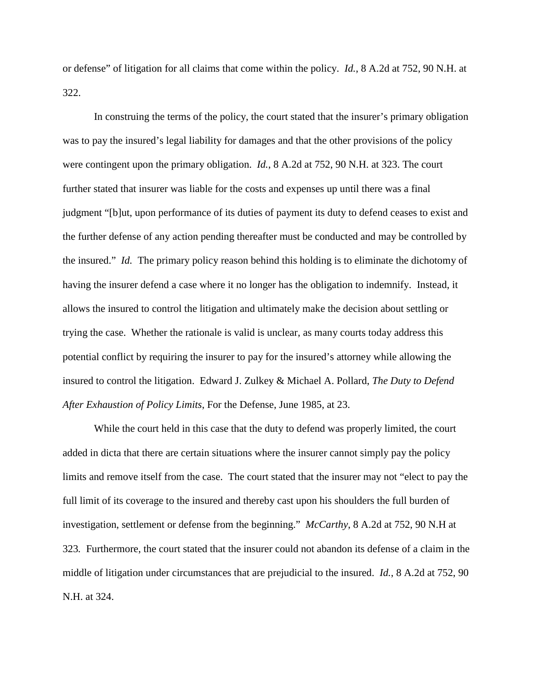or defense" of litigation for all claims that come within the policy. *Id.*, 8 A.2d at 752, 90 N.H. at 322.

 In construing the terms of the policy, the court stated that the insurer's primary obligation was to pay the insured's legal liability for damages and that the other provisions of the policy were contingent upon the primary obligation. *Id.*, 8 A.2d at 752, 90 N.H. at 323. The court further stated that insurer was liable for the costs and expenses up until there was a final judgment "[b]ut, upon performance of its duties of payment its duty to defend ceases to exist and the further defense of any action pending thereafter must be conducted and may be controlled by the insured." *Id.* The primary policy reason behind this holding is to eliminate the dichotomy of having the insurer defend a case where it no longer has the obligation to indemnify. Instead, it allows the insured to control the litigation and ultimately make the decision about settling or trying the case. Whether the rationale is valid is unclear, as many courts today address this potential conflict by requiring the insurer to pay for the insured's attorney while allowing the insured to control the litigation. Edward J. Zulkey & Michael A. Pollard, *The Duty to Defend After Exhaustion of Policy Limits*, For the Defense, June 1985, at 23.

 While the court held in this case that the duty to defend was properly limited, the court added in dicta that there are certain situations where the insurer cannot simply pay the policy limits and remove itself from the case. The court stated that the insurer may not "elect to pay the full limit of its coverage to the insured and thereby cast upon his shoulders the full burden of investigation, settlement or defense from the beginning." *McCarthy*, 8 A.2d at 752, 90 N.H at 323*.* Furthermore, the court stated that the insurer could not abandon its defense of a claim in the middle of litigation under circumstances that are prejudicial to the insured. *Id.*, 8 A.2d at 752, 90 N.H. at 324.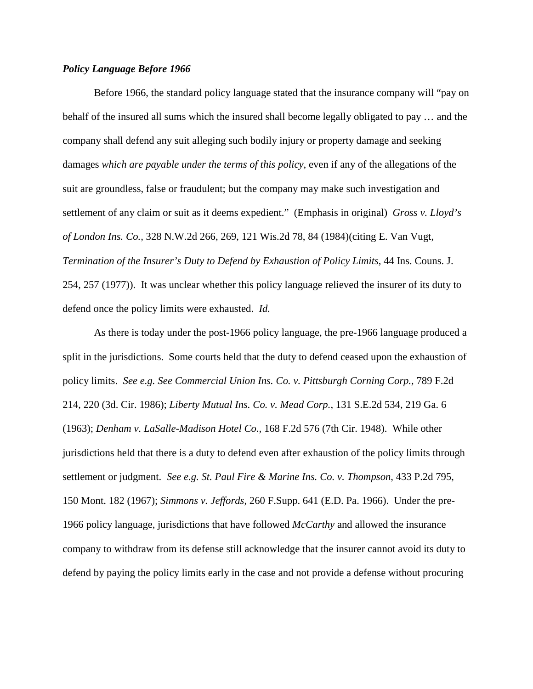## *Policy Language Before 1966*

Before 1966, the standard policy language stated that the insurance company will "pay on behalf of the insured all sums which the insured shall become legally obligated to pay … and the company shall defend any suit alleging such bodily injury or property damage and seeking damages *which are payable under the terms of this policy*, even if any of the allegations of the suit are groundless, false or fraudulent; but the company may make such investigation and settlement of any claim or suit as it deems expedient." (Emphasis in original) *Gross v. Lloyd's of London Ins. Co.,* 328 N.W.2d 266, 269, 121 Wis.2d 78, 84 (1984)(citing E. Van Vugt, *Termination of the Insurer's Duty to Defend by Exhaustion of Policy Limits*, 44 Ins. Couns. J. 254, 257 (1977)). It was unclear whether this policy language relieved the insurer of its duty to defend once the policy limits were exhausted. *Id.*

As there is today under the post-1966 policy language, the pre-1966 language produced a split in the jurisdictions. Some courts held that the duty to defend ceased upon the exhaustion of policy limits. *See e.g. See Commercial Union Ins. Co. v. Pittsburgh Corning Corp.,* 789 F.2d 214, 220 (3d. Cir. 1986); *Liberty Mutual Ins. Co. v. Mead Corp.*, 131 S.E.2d 534, 219 Ga. 6 (1963); *Denham v. LaSalle-Madison Hotel Co.,* 168 F.2d 576 (7th Cir. 1948). While other jurisdictions held that there is a duty to defend even after exhaustion of the policy limits through settlement or judgment. *See e.g. St. Paul Fire & Marine Ins. Co. v. Thompson*, 433 P.2d 795, 150 Mont. 182 (1967); *Simmons v. Jeffords*, 260 F.Supp. 641 (E.D. Pa. 1966). Under the pre-1966 policy language, jurisdictions that have followed *McCarthy* and allowed the insurance company to withdraw from its defense still acknowledge that the insurer cannot avoid its duty to defend by paying the policy limits early in the case and not provide a defense without procuring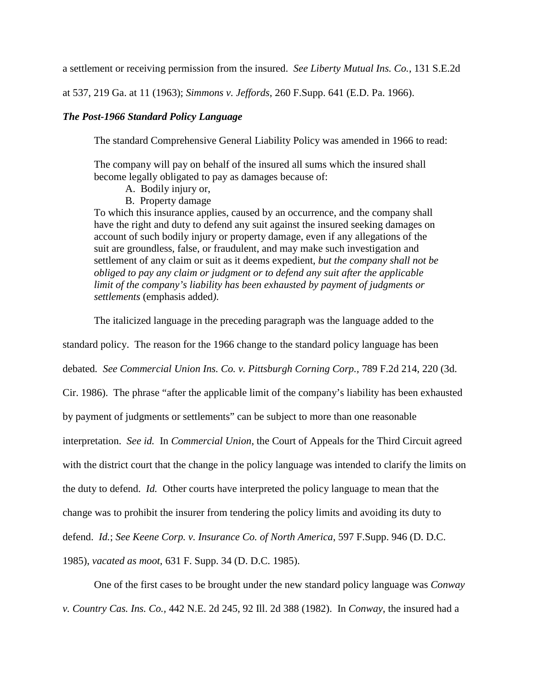a settlement or receiving permission from the insured. *See Liberty Mutual Ins. Co.*, 131 S.E.2d

at 537, 219 Ga. at 11 (1963); *Simmons v. Jeffords*, 260 F.Supp. 641 (E.D. Pa. 1966).

## *The Post-1966 Standard Policy Language*

The standard Comprehensive General Liability Policy was amended in 1966 to read:

The company will pay on behalf of the insured all sums which the insured shall become legally obligated to pay as damages because of:

- A. Bodily injury or,
- B. Property damage

To which this insurance applies, caused by an occurrence, and the company shall have the right and duty to defend any suit against the insured seeking damages on account of such bodily injury or property damage, even if any allegations of the suit are groundless, false, or fraudulent, and may make such investigation and settlement of any claim or suit as it deems expedient, *but the company shall not be obliged to pay any claim or judgment or to defend any suit after the applicable limit of the company's liability has been exhausted by payment of judgments or settlements* (emphasis added*)*.

The italicized language in the preceding paragraph was the language added to the

standard policy. The reason for the 1966 change to the standard policy language has been

debated*. See Commercial Union Ins. Co. v. Pittsburgh Corning Corp.,* 789 F.2d 214, 220 (3d.

Cir. 1986). The phrase "after the applicable limit of the company's liability has been exhausted

by payment of judgments or settlements" can be subject to more than one reasonable

interpretation. *See id.* In *Commercial Union*, the Court of Appeals for the Third Circuit agreed

with the district court that the change in the policy language was intended to clarify the limits on

the duty to defend. *Id.* Other courts have interpreted the policy language to mean that the

change was to prohibit the insurer from tendering the policy limits and avoiding its duty to

defend. *Id.*; *See Keene Corp. v. Insurance Co. of North America*, 597 F.Supp. 946 (D. D.C.

1985), *vacated as moot*, 631 F. Supp. 34 (D. D.C. 1985).

One of the first cases to be brought under the new standard policy language was *Conway* 

*v. Country Cas. Ins. Co.,* 442 N.E. 2d 245, 92 Ill. 2d 388 (1982). In *Conway*, the insured had a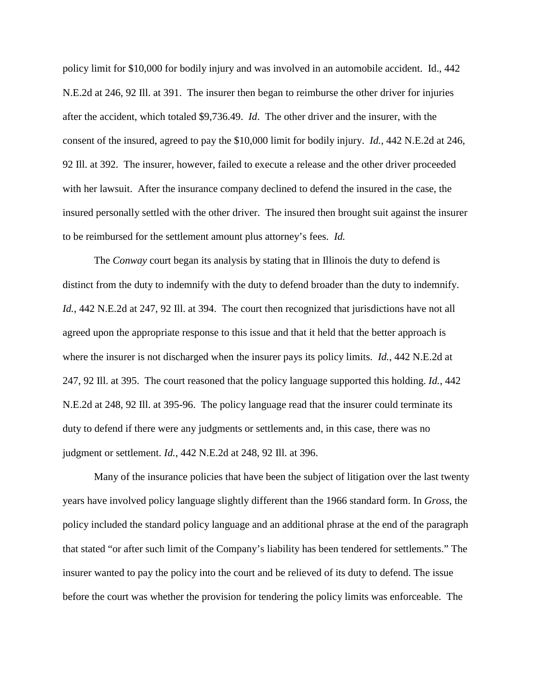policy limit for \$10,000 for bodily injury and was involved in an automobile accident. Id., 442 N.E.2d at 246, 92 Ill. at 391. The insurer then began to reimburse the other driver for injuries after the accident, which totaled \$9,736.49. *Id*. The other driver and the insurer, with the consent of the insured, agreed to pay the \$10,000 limit for bodily injury. *Id.*, 442 N.E.2d at 246, 92 Ill. at 392. The insurer, however, failed to execute a release and the other driver proceeded with her lawsuit. After the insurance company declined to defend the insured in the case, the insured personally settled with the other driver. The insured then brought suit against the insurer to be reimbursed for the settlement amount plus attorney's fees. *Id.*

 The *Conway* court began its analysis by stating that in Illinois the duty to defend is distinct from the duty to indemnify with the duty to defend broader than the duty to indemnify. *Id.*, 442 N.E.2d at 247, 92 Ill. at 394. The court then recognized that jurisdictions have not all agreed upon the appropriate response to this issue and that it held that the better approach is where the insurer is not discharged when the insurer pays its policy limits. *Id.*, 442 N.E.2d at 247, 92 Ill. at 395. The court reasoned that the policy language supported this holding. *Id.*, 442 N.E.2d at 248, 92 Ill. at 395-96. The policy language read that the insurer could terminate its duty to defend if there were any judgments or settlements and, in this case, there was no judgment or settlement. *Id.*, 442 N.E.2d at 248, 92 Ill. at 396.

Many of the insurance policies that have been the subject of litigation over the last twenty years have involved policy language slightly different than the 1966 standard form. In *Gross*, the policy included the standard policy language and an additional phrase at the end of the paragraph that stated "or after such limit of the Company's liability has been tendered for settlements." The insurer wanted to pay the policy into the court and be relieved of its duty to defend. The issue before the court was whether the provision for tendering the policy limits was enforceable. The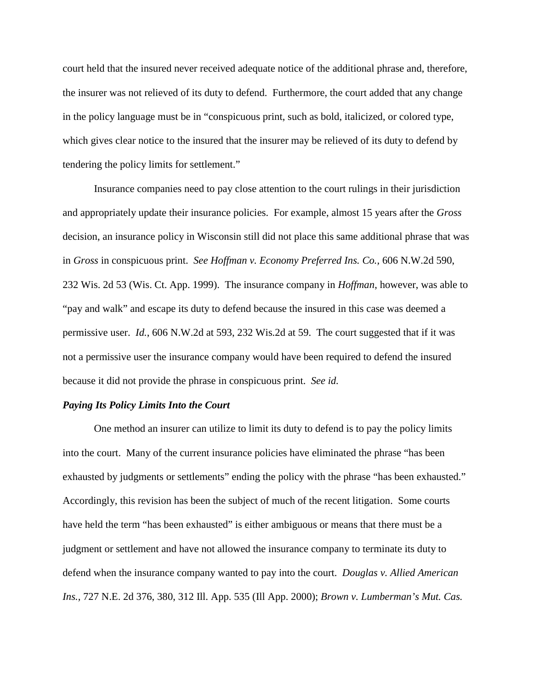court held that the insured never received adequate notice of the additional phrase and, therefore, the insurer was not relieved of its duty to defend. Furthermore, the court added that any change in the policy language must be in "conspicuous print, such as bold, italicized, or colored type, which gives clear notice to the insured that the insurer may be relieved of its duty to defend by tendering the policy limits for settlement."

 Insurance companies need to pay close attention to the court rulings in their jurisdiction and appropriately update their insurance policies. For example, almost 15 years after the *Gross* decision, an insurance policy in Wisconsin still did not place this same additional phrase that was in *Gross* in conspicuous print. *See Hoffman v. Economy Preferred Ins. Co.,* 606 N.W.2d 590, 232 Wis. 2d 53 (Wis. Ct. App. 1999). The insurance company in *Hoffman*, however, was able to "pay and walk" and escape its duty to defend because the insured in this case was deemed a permissive user. *Id.*, 606 N.W.2d at 593, 232 Wis.2d at 59. The court suggested that if it was not a permissive user the insurance company would have been required to defend the insured because it did not provide the phrase in conspicuous print. *See id.*

#### *Paying Its Policy Limits Into the Court*

One method an insurer can utilize to limit its duty to defend is to pay the policy limits into the court. Many of the current insurance policies have eliminated the phrase "has been exhausted by judgments or settlements" ending the policy with the phrase "has been exhausted." Accordingly, this revision has been the subject of much of the recent litigation. Some courts have held the term "has been exhausted" is either ambiguous or means that there must be a judgment or settlement and have not allowed the insurance company to terminate its duty to defend when the insurance company wanted to pay into the court. *Douglas v. Allied American Ins.,* 727 N.E. 2d 376, 380, 312 Ill. App. 535 (Ill App. 2000); *Brown v. Lumberman's Mut. Cas.*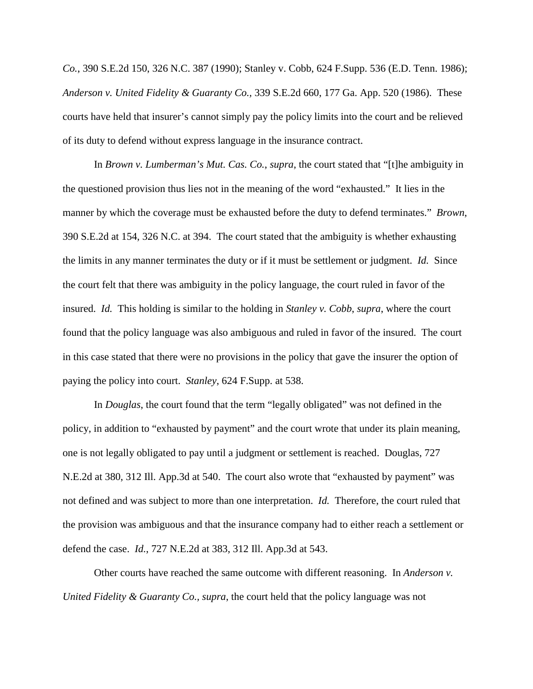*Co.*, 390 S.E.2d 150, 326 N.C. 387 (1990); Stanley v. Cobb, 624 F.Supp. 536 (E.D. Tenn. 1986); *Anderson v. United Fidelity & Guaranty Co.,* 339 S.E.2d 660, 177 Ga. App. 520 (1986). These courts have held that insurer's cannot simply pay the policy limits into the court and be relieved of its duty to defend without express language in the insurance contract.

In *Brown v. Lumberman's Mut. Cas. Co.*, *supra*, the court stated that "[t]he ambiguity in the questioned provision thus lies not in the meaning of the word "exhausted." It lies in the manner by which the coverage must be exhausted before the duty to defend terminates." *Brown*, 390 S.E.2d at 154, 326 N.C. at 394. The court stated that the ambiguity is whether exhausting the limits in any manner terminates the duty or if it must be settlement or judgment. *Id.* Since the court felt that there was ambiguity in the policy language, the court ruled in favor of the insured. *Id.* This holding is similar to the holding in *Stanley v. Cobb*, *supra*, where the court found that the policy language was also ambiguous and ruled in favor of the insured. The court in this case stated that there were no provisions in the policy that gave the insurer the option of paying the policy into court. *Stanley*, 624 F.Supp. at 538.

In *Douglas*, the court found that the term "legally obligated" was not defined in the policy, in addition to "exhausted by payment" and the court wrote that under its plain meaning, one is not legally obligated to pay until a judgment or settlement is reached. Douglas, 727 N.E.2d at 380, 312 Ill. App.3d at 540. The court also wrote that "exhausted by payment" was not defined and was subject to more than one interpretation. *Id.* Therefore, the court ruled that the provision was ambiguous and that the insurance company had to either reach a settlement or defend the case. *Id.*, 727 N.E.2d at 383, 312 Ill. App.3d at 543.

Other courts have reached the same outcome with different reasoning. In *Anderson v. United Fidelity & Guaranty Co., supra*, the court held that the policy language was not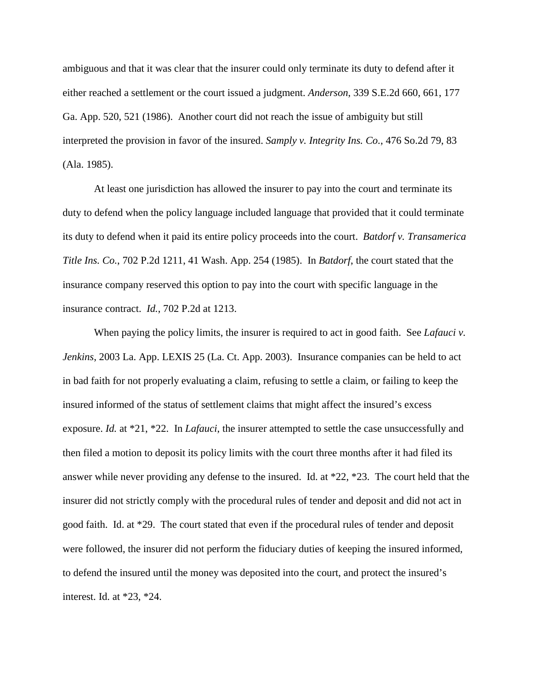ambiguous and that it was clear that the insurer could only terminate its duty to defend after it either reached a settlement or the court issued a judgment. *Anderson*, 339 S.E.2d 660, 661, 177 Ga. App. 520, 521 (1986). Another court did not reach the issue of ambiguity but still interpreted the provision in favor of the insured. *Samply v. Integrity Ins. Co.*, 476 So.2d 79, 83 (Ala. 1985).

At least one jurisdiction has allowed the insurer to pay into the court and terminate its duty to defend when the policy language included language that provided that it could terminate its duty to defend when it paid its entire policy proceeds into the court. *Batdorf v. Transamerica Title Ins. Co.*, 702 P.2d 1211, 41 Wash. App. 254 (1985). In *Batdorf*, the court stated that the insurance company reserved this option to pay into the court with specific language in the insurance contract. *Id.*, 702 P.2d at 1213.

When paying the policy limits, the insurer is required to act in good faith. See *Lafauci v*. *Jenkins*, 2003 La. App. LEXIS 25 (La. Ct. App. 2003). Insurance companies can be held to act in bad faith for not properly evaluating a claim, refusing to settle a claim, or failing to keep the insured informed of the status of settlement claims that might affect the insured's excess exposure. *Id.* at \*21, \*22. In *Lafauci*, the insurer attempted to settle the case unsuccessfully and then filed a motion to deposit its policy limits with the court three months after it had filed its answer while never providing any defense to the insured. Id. at \*22, \*23. The court held that the insurer did not strictly comply with the procedural rules of tender and deposit and did not act in good faith. Id. at \*29. The court stated that even if the procedural rules of tender and deposit were followed, the insurer did not perform the fiduciary duties of keeping the insured informed, to defend the insured until the money was deposited into the court, and protect the insured's interest. Id. at \*23, \*24.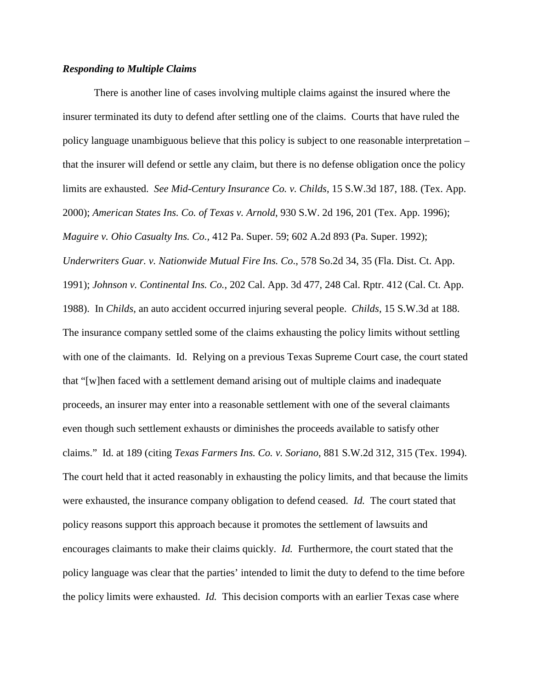## *Responding to Multiple Claims*

There is another line of cases involving multiple claims against the insured where the insurer terminated its duty to defend after settling one of the claims. Courts that have ruled the policy language unambiguous believe that this policy is subject to one reasonable interpretation – that the insurer will defend or settle any claim, but there is no defense obligation once the policy limits are exhausted. *See Mid-Century Insurance Co. v. Childs*, 15 S.W.3d 187, 188. (Tex. App. 2000); *American States Ins. Co. of Texas v. Arnold*, 930 S.W. 2d 196, 201 (Tex. App. 1996); *Maguire v. Ohio Casualty Ins. Co.,* 412 Pa. Super. 59; 602 A.2d 893 (Pa. Super. 1992); *Underwriters Guar. v. Nationwide Mutual Fire Ins. Co*., 578 So.2d 34, 35 (Fla. Dist. Ct. App. 1991); *Johnson v. Continental Ins. Co.*, 202 Cal. App. 3d 477, 248 Cal. Rptr. 412 (Cal. Ct. App. 1988). In *Childs*, an auto accident occurred injuring several people. *Childs*, 15 S.W.3d at 188. The insurance company settled some of the claims exhausting the policy limits without settling with one of the claimants. Id. Relying on a previous Texas Supreme Court case, the court stated that "[w]hen faced with a settlement demand arising out of multiple claims and inadequate proceeds, an insurer may enter into a reasonable settlement with one of the several claimants even though such settlement exhausts or diminishes the proceeds available to satisfy other claims." Id. at 189 (citing *Texas Farmers Ins. Co. v. Soriano*, 881 S.W.2d 312, 315 (Tex. 1994). The court held that it acted reasonably in exhausting the policy limits, and that because the limits were exhausted, the insurance company obligation to defend ceased. *Id.* The court stated that policy reasons support this approach because it promotes the settlement of lawsuits and encourages claimants to make their claims quickly. *Id.* Furthermore, the court stated that the policy language was clear that the parties' intended to limit the duty to defend to the time before the policy limits were exhausted. *Id.* This decision comports with an earlier Texas case where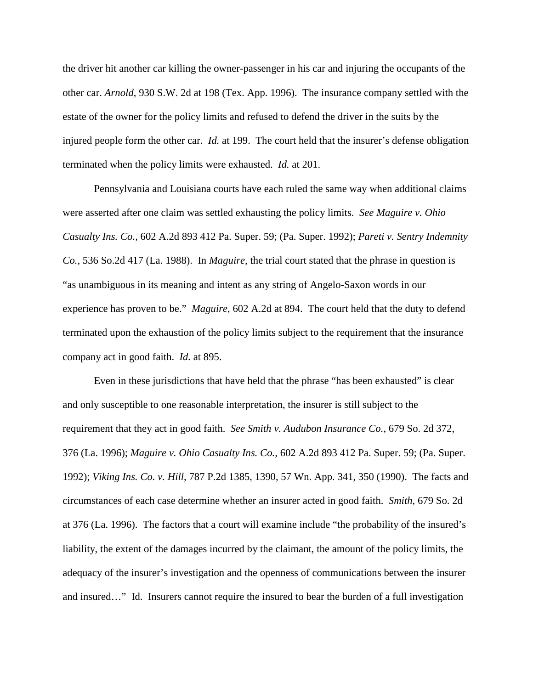the driver hit another car killing the owner-passenger in his car and injuring the occupants of the other car. *Arnold*, 930 S.W. 2d at 198 (Tex. App. 1996). The insurance company settled with the estate of the owner for the policy limits and refused to defend the driver in the suits by the injured people form the other car. *Id.* at 199. The court held that the insurer's defense obligation terminated when the policy limits were exhausted. *Id.* at 201.

Pennsylvania and Louisiana courts have each ruled the same way when additional claims were asserted after one claim was settled exhausting the policy limits. *See Maguire v. Ohio Casualty Ins. Co.,* 602 A.2d 893 412 Pa. Super. 59; (Pa. Super. 1992); *Pareti v. Sentry Indemnity Co.*, 536 So.2d 417 (La. 1988). In *Maguire*, the trial court stated that the phrase in question is "as unambiguous in its meaning and intent as any string of Angelo-Saxon words in our experience has proven to be." *Maguire*, 602 A.2d at 894. The court held that the duty to defend terminated upon the exhaustion of the policy limits subject to the requirement that the insurance company act in good faith. *Id.* at 895.

Even in these jurisdictions that have held that the phrase "has been exhausted" is clear and only susceptible to one reasonable interpretation, the insurer is still subject to the requirement that they act in good faith. *See Smith v. Audubon Insurance Co.*, 679 So. 2d 372, 376 (La. 1996); *Maguire v. Ohio Casualty Ins. Co.,* 602 A.2d 893 412 Pa. Super. 59; (Pa. Super. 1992); *Viking Ins. Co. v. Hill*, 787 P.2d 1385, 1390, 57 Wn. App. 341, 350 (1990). The facts and circumstances of each case determine whether an insurer acted in good faith. *Smith*, 679 So. 2d at 376 (La. 1996). The factors that a court will examine include "the probability of the insured's liability, the extent of the damages incurred by the claimant, the amount of the policy limits, the adequacy of the insurer's investigation and the openness of communications between the insurer and insured…" Id. Insurers cannot require the insured to bear the burden of a full investigation